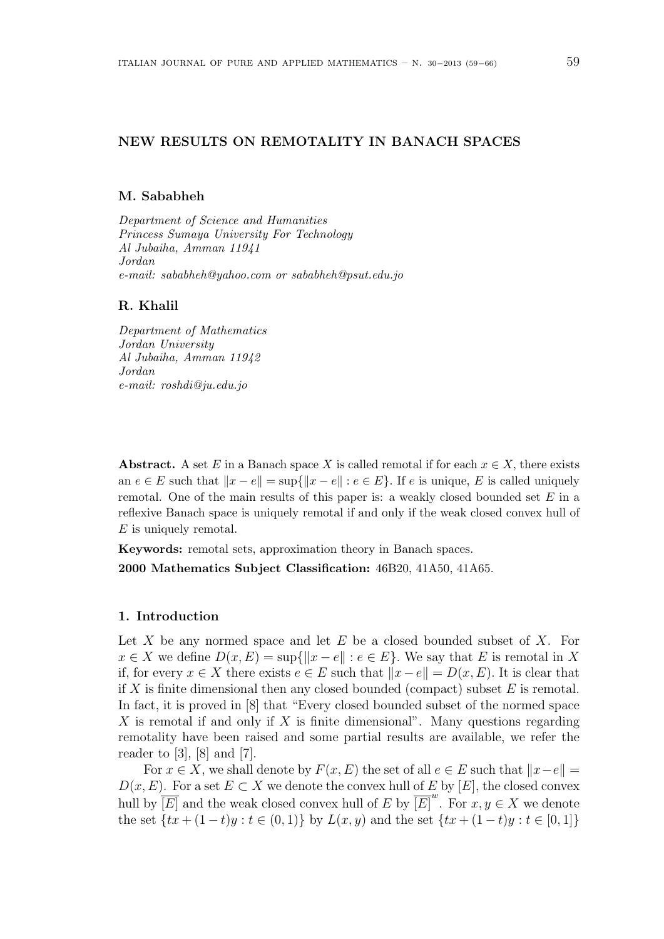# **NEW RESULTS ON REMOTALITY IN BANACH SPACES**

#### **M. Sababheh**

*Department of Science and Humanities Princess Sumaya University For Technology Al Jubaiha, Amman 11941 Jordan e-mail: sababheh@yahoo.com or sababheh@psut.edu.jo*

#### **R. Khalil**

*Department of Mathematics Jordan University Al Jubaiha, Amman 11942 Jordan e-mail: roshdi@ju.edu.jo*

**Abstract.** A set *E* in a Banach space *X* is called remotal if for each  $x \in X$ , there exists an  $e \in E$  such that  $||x - e|| = \sup{||x - e|| : e \in E}$ . If e is unique, E is called uniquely remotal. One of the main results of this paper is: a weakly closed bounded set *E* in a reflexive Banach space is uniquely remotal if and only if the weak closed convex hull of *E* is uniquely remotal.

**Keywords:** remotal sets, approximation theory in Banach spaces.

**2000 Mathematics Subject Classification:** 46B20, 41A50, 41A65.

#### **1. Introduction**

Let *X* be any normed space and let *E* be a closed bounded subset of *X*. For  $x \in X$  we define  $D(x, E) = \sup\{\|x - e\| : e \in E\}$ . We say that *E* is remotal in *X* if, for every  $x \in X$  there exists  $e \in E$  such that  $||x - e|| = D(x, E)$ . It is clear that if *X* is finite dimensional then any closed bounded (compact) subset *E* is remotal. In fact, it is proved in [8] that "Every closed bounded subset of the normed space *X* is remotal if and only if *X* is finite dimensional". Many questions regarding remotality have been raised and some partial results are available, we refer the reader to  $[3]$ ,  $[8]$  and  $[7]$ .

For  $x \in X$ , we shall denote by  $F(x, E)$  the set of all  $e \in E$  such that  $||x - e|| =$  $D(x, E)$ . For a set  $E \subset X$  we denote the convex hull of *E* by [*E*], the closed convex hull by  $\overline{[E]}$  and the weak closed convex hull of *E* by  $\overline{[E]}^{w}$ . For  $x, y \in X$  we denote the set  $\{tx + (1-t)y : t \in (0,1)\}\$  by  $L(x,y)$  and the set  $\{tx + (1-t)y : t \in [0,1]\}\$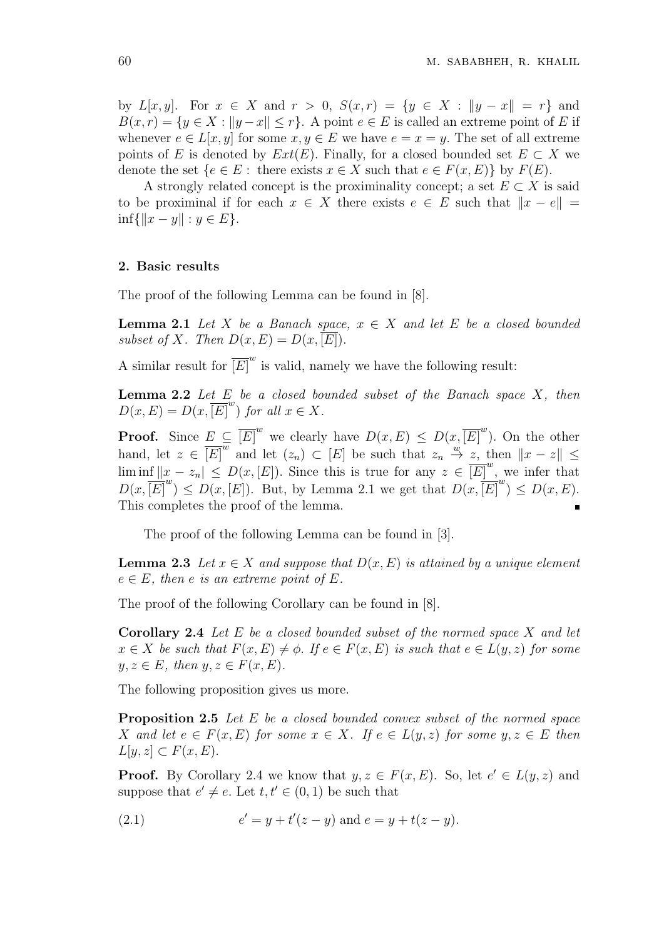by *L*[*x, y*]. For  $x \in X$  and  $r > 0$ ,  $S(x,r) = \{y \in X : ||y - x|| = r\}$  and  $B(x, r) = \{y \in X : ||y - x|| \leq r\}$ . A point  $e \in E$  is called an extreme point of *E* if whenever  $e \in L[x, y]$  for some  $x, y \in E$  we have  $e = x = y$ . The set of all extreme points of *E* is denoted by  $Ext(E)$ . Finally, for a closed bounded set  $E \subset X$  we denote the set  ${e \in E$ : there exists  $x \in X$  such that  $e \in F(x, E)$ } by  $F(E)$ .

A strongly related concept is the proximinality concept; a set  $E \subset X$  is said to be proximinal if for each  $x \in X$  there exists  $e \in E$  such that  $||x - e|| =$  $\inf \{ ||x - y|| : y \in E \}.$ 

### **2. Basic results**

The proof of the following Lemma can be found in [8].

**Lemma 2.1** *Let X be a Banach space,*  $x \in X$  *and let E be a closed bounded* subset of *X*. Then  $D(x, E) = D(x, [E])$ .

A similar result for  $\overline{\left[E\right]}^{w}$  is valid, namely we have the following result:

**Lemma 2.2** *Let E be a closed bounded subset of the Banach space X, then*  $D(x, E) = D(x, [E]^w)$  *for all*  $x \in X$ *.* 

**Proof.** Since  $E \subseteq \overline{[E]}^w$  we clearly have  $D(x, E) \leq D(x, \overline{[E]}^w)$ . On the other hand, let  $z \in \overline{[E]}^{\overline{w}}$  and let  $(z_n) \subset [E]$  be such that  $z_n \stackrel{w}{\to} z$ , then  $||x - z|| \le$ lim inf  $||x - z_n||$  ≤  $D(x, [E])$ . Since this is true for any  $z \in [E]^w$ , we infer that  $D(x, \overline{[E]}^w) \leq D(x, [E])$ . But, by Lemma 2.1 we get that  $D(x, \overline{[E]}^w) \leq D(x, E)$ . This completes the proof of the lemma.

The proof of the following Lemma can be found in [3].

**Lemma 2.3** *Let*  $x \in X$  *and suppose that*  $D(x, E)$  *is attained by a unique element*  $e \in E$ , then  $e$  *is an extreme point of*  $E$ *.* 

The proof of the following Corollary can be found in [8].

**Corollary 2.4** *Let E be a closed bounded subset of the normed space X and let*  $x \in X$  *be such that*  $F(x, E) \neq \emptyset$ . If  $e \in F(x, E)$  *is such that*  $e \in L(y, z)$  *for some*  $y, z \in E$ , then  $y, z \in F(x, E)$ .

The following proposition gives us more.

**Proposition 2.5** *Let E be a closed bounded convex subset of the normed space X* and let  $e \in F(x, E)$  for some  $x \in X$ . If  $e \in L(y, z)$  for some  $y, z \in E$  then  $L[y, z] \subset F(x, E)$ .

**Proof.** By Corollary 2.4 we know that  $y, z \in F(x, E)$ . So, let  $e' \in L(y, z)$  and suppose that  $e' \neq e$ . Let  $t, t' \in (0, 1)$  be such that

(2.1) 
$$
e' = y + t'(z - y) \text{ and } e = y + t(z - y).
$$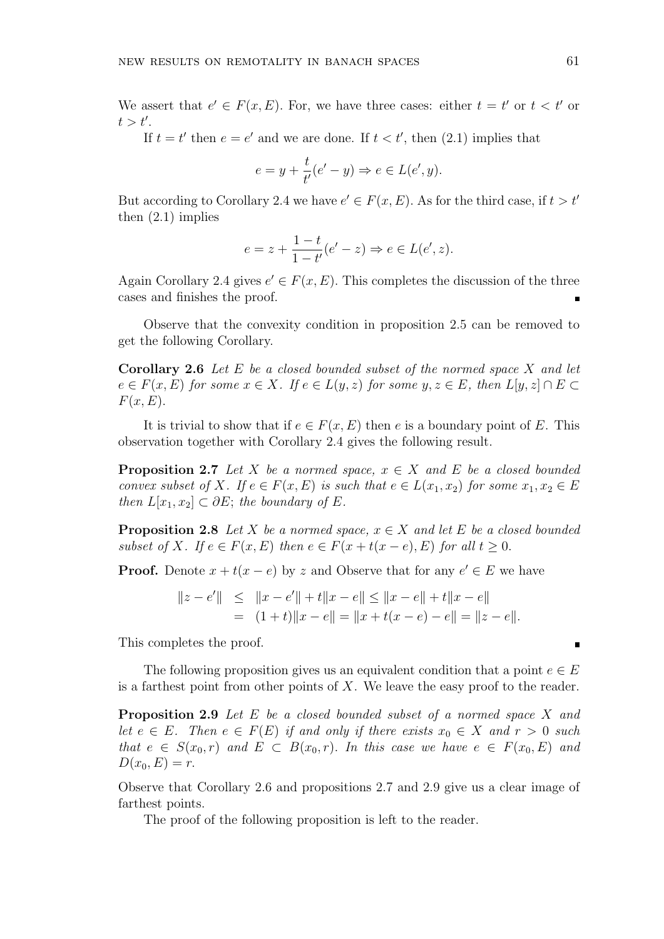We assert that  $e' \in F(x, E)$ . For, we have three cases: either  $t = t'$  or  $t < t'$  or *t > t′* .

If  $t = t'$  then  $e = e'$  and we are done. If  $t < t'$ , then  $(2.1)$  implies that

$$
e = y + \frac{t}{t'}(e' - y) \Rightarrow e \in L(e', y).
$$

But according to Corollary 2.4 we have  $e' \in F(x, E)$ . As for the third case, if  $t > t'$ then (2.1) implies

$$
e = z + \frac{1-t}{1-t'}(e'-z) \Rightarrow e \in L(e', z).
$$

Again Corollary 2.4 gives  $e' \in F(x, E)$ . This completes the discussion of the three cases and finishes the proof.

Observe that the convexity condition in proposition 2.5 can be removed to get the following Corollary.

**Corollary 2.6** *Let E be a closed bounded subset of the normed space X and let*  $e \in F(x, E)$  for some  $x \in X$ . If  $e \in L(y, z)$  for some  $y, z \in E$ , then  $L[y, z] \cap E \subset$ *F*(*x, E*)*.*

It is trivial to show that if  $e \in F(x, E)$  then *e* is a boundary point of *E*. This observation together with Corollary 2.4 gives the following result.

**Proposition 2.7** *Let X be a normed space,*  $x \in X$  *and E be a closed bounded convex subset of X. If*  $e \in F(x, E)$  *is such that*  $e \in L(x_1, x_2)$  *for some*  $x_1, x_2 \in E$ *then*  $L[x_1, x_2] \subset \partial E$ ; *the boundary of*  $E$ *.* 

**Proposition 2.8** *Let*  $X$  *be a normed space,*  $x \in X$  *and let*  $E$  *be a closed bounded subset of X. If*  $e \in F(x, E)$  *then*  $e \in F(x + t(x - e), E)$  *for all*  $t \ge 0$ *.* 

**Proof.** Denote  $x + t(x - e)$  by z and Observe that for any  $e' \in E$  we have

$$
||z - e'|| \le ||x - e'|| + t||x - e|| \le ||x - e|| + t||x - e||
$$
  
= 
$$
(1 + t) ||x - e|| = ||x + t(x - e) - e|| = ||z - e||.
$$

This completes the proof.

The following proposition gives us an equivalent condition that a point  $e \in E$ is a farthest point from other points of *X*. We leave the easy proof to the reader.

**Proposition 2.9** *Let E be a closed bounded subset of a normed space X and let*  $e \in E$ *. Then*  $e \in F(E)$  *if and only if there exists*  $x_0 \in X$  *and*  $r > 0$  *such that*  $e \in S(x_0, r)$  *and*  $E \subset B(x_0, r)$ *. In this case we have*  $e \in F(x_0, E)$  *and*  $D(x_0, E) = r.$ 

Observe that Corollary 2.6 and propositions 2.7 and 2.9 give us a clear image of farthest points.

The proof of the following proposition is left to the reader.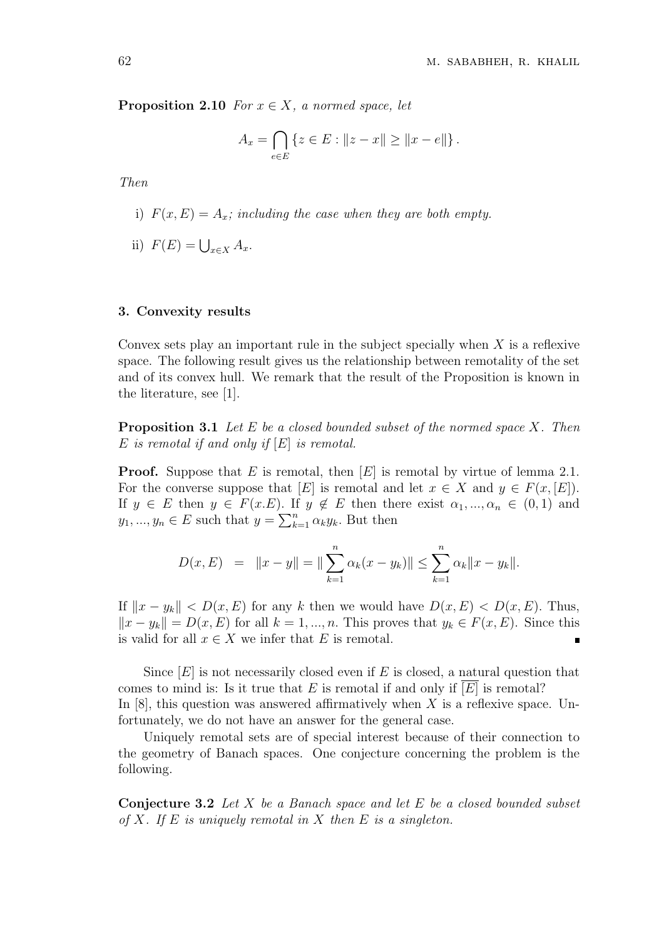**Proposition 2.10** *For*  $x \in X$ *, a normed space, let* 

$$
A_x = \bigcap_{e \in E} \{ z \in E : ||z - x|| \ge ||x - e|| \}.
$$

*Then*

- i)  $F(x, E) = A_x$ *; including the case when they are both empty.*
- ii)  $F(E) = ∪_{x∈X} A_x$ .

### **3. Convexity results**

Convex sets play an important rule in the subject specially when *X* is a reflexive space. The following result gives us the relationship between remotality of the set and of its convex hull. We remark that the result of the Proposition is known in the literature, see [1].

**Proposition 3.1** *Let E be a closed bounded subset of the normed space X. Then E is remotal if and only if* [*E*] *is remotal.*

**Proof.** Suppose that *E* is remotal, then [*E*] is remotal by virtue of lemma 2.1. For the converse suppose that  $[E]$  is remotal and let  $x \in X$  and  $y \in F(x, [E])$ . If  $y \in E$  then  $y \in F(x,E)$ . If  $y \notin E$  then there exist  $\alpha_1, ..., \alpha_n \in (0,1)$  and  $y_1, ..., y_n \in E$  such that  $y = \sum_{k=1}^n \alpha_k y_k$ . But then

$$
D(x, E) = ||x - y|| = ||\sum_{k=1}^{n} \alpha_k (x - y_k)|| \le \sum_{k=1}^{n} \alpha_k ||x - y_k||.
$$

If  $||x - y_k|| < D(x, E)$  for any *k* then we would have  $D(x, E) < D(x, E)$ . Thus,  $||x - y_k|| = D(x, E)$  for all  $k = 1, ..., n$ . This proves that  $y_k ∈ F(x, E)$ . Since this is valid for all  $x \in X$  we infer that  $E$  is remotal.

Since [*E*] is not necessarily closed even if *E* is closed, a natural question that comes to mind is: Is it true that  $E$  is remotal if and only if  $[E]$  is remotal? In [8], this question was answered affirmatively when *X* is a reflexive space. Unfortunately, we do not have an answer for the general case.

Uniquely remotal sets are of special interest because of their connection to the geometry of Banach spaces. One conjecture concerning the problem is the following.

**Conjecture 3.2** *Let X be a Banach space and let E be a closed bounded subset of X. If E is uniquely remotal in X then E is a singleton.*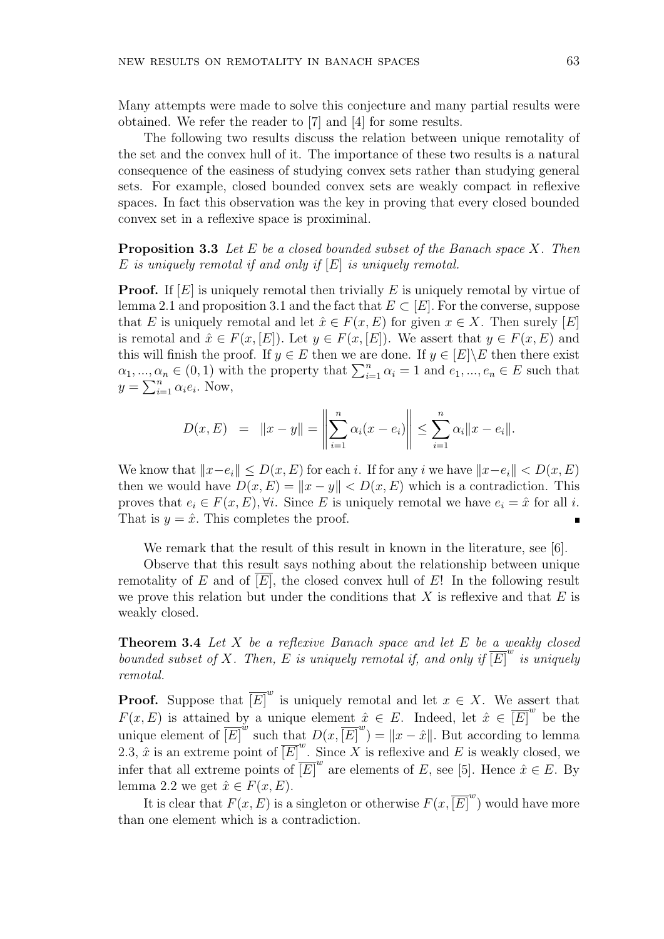Many attempts were made to solve this conjecture and many partial results were obtained. We refer the reader to [7] and [4] for some results.

The following two results discuss the relation between unique remotality of the set and the convex hull of it. The importance of these two results is a natural consequence of the easiness of studying convex sets rather than studying general sets. For example, closed bounded convex sets are weakly compact in reflexive spaces. In fact this observation was the key in proving that every closed bounded convex set in a reflexive space is proximinal.

**Proposition 3.3** *Let E be a closed bounded subset of the Banach space X. Then E is uniquely remotal if and only if* [*E*] *is uniquely remotal.*

**Proof.** If [E] is uniquely remotal then trivially E is uniquely remotal by virtue of lemma 2.1 and proposition 3.1 and the fact that  $E \subset [E]$ . For the converse, suppose that *E* is uniquely remotal and let  $\hat{x} \in F(x, E)$  for given  $x \in X$ . Then surely [*E*] is remotal and  $\hat{x} \in F(x, [E])$ . Let  $y \in F(x, [E])$ . We assert that  $y \in F(x, E)$  and this will finish the proof. If  $y \in E$  then we are done. If  $y \in E |X|$ **E** then there exist  $\alpha_1, \ldots, \alpha_n \in (0,1)$  with the property that  $\sum_{i=1}^n \alpha_i = 1$  and  $e_1, \ldots, e_n \in E$  such that  $y = \sum_{i=1}^{n} \alpha_i e_i$ . Now,

$$
D(x, E) = ||x - y|| = \left\| \sum_{i=1}^{n} \alpha_i (x - e_i) \right\| \le \sum_{i=1}^{n} \alpha_i ||x - e_i||.
$$

We know that  $||x-e_i|| \leq D(x, E)$  for each *i*. If for any *i* we have  $||x-e_i|| < D(x, E)$ then we would have  $D(x, E) = ||x - y|| < D(x, E)$  which is a contradiction. This proves that  $e_i \in F(x, E), \forall i$ . Since *E* is uniquely remotal we have  $e_i = \hat{x}$  for all *i*. That is  $y = \hat{x}$ . This completes the proof. Ē

We remark that the result of this result in known in the literature, see [6].

Observe that this result says nothing about the relationship between unique remotality of  $E$  and of  $[E]$ , the closed convex hull of  $E$ ! In the following result we prove this relation but under the conditions that *X* is reflexive and that *E* is weakly closed.

**Theorem 3.4** *Let X be a reflexive Banach space and let E be a weakly closed bounded subset of X. Then, E is uniquely remotal if, and only if*  $\overline{\left[E\right]}^{w}$  *is uniquely remotal.*

**Proof.** Suppose that  $\overline{[E]}^w$  is uniquely remotal and let  $x \in X$ . We assert that *F*(*x, E*) is attained by a unique element  $\hat{x} \in E$ . Indeed, let  $\hat{x} \in \overline{[E]}^w$  be the unique element of  $\overline{[E]}^{w}$  such that  $D(x, \overline{[E]}^{w}) = ||x - \hat{x}||$ . But according to lemma 2.3,  $\hat{x}$  is an extreme point of  $\overline{[E]}^{w}$ . Since X is reflexive and E is weakly closed, we infer that all extreme points of  $\overline{[E]}^w$  are elements of *E*, see [5]. Hence  $\hat{x} \in E$ . By lemma 2.2 we get  $\hat{x} \in F(x, E)$ .

It is clear that  $F(x, E)$  is a singleton or otherwise  $F(x, E)^w$  would have more than one element which is a contradiction.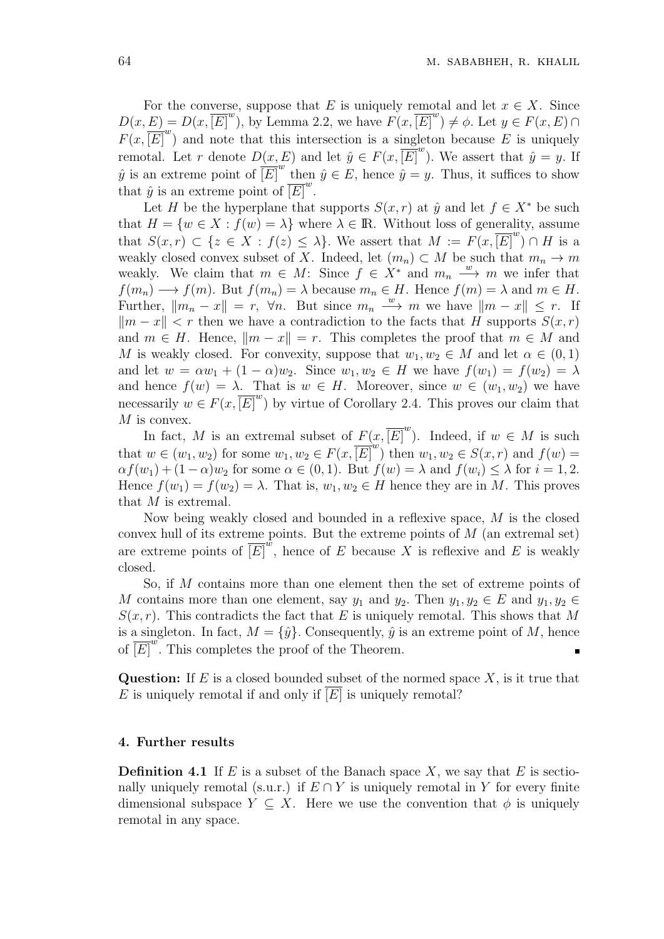For the converse, suppose that *E* is uniquely remotal and let  $x \in X$ . Since  $D(x, E) = D(x, \overline{[E]}^w)$ , by Lemma 2.2, we have  $F(x, \overline{[E]}^w) \neq \emptyset$ . Let  $y \in F(x, E) \cap$  $F(x, \overline{[E]}^w)$  and note that this intersection is a singleton because *E* is uniquely remotal. Let *r* denote  $D(x, E)$  and let  $\hat{y} \in F(x, \overline{[E]}^w)$ . We assert that  $\hat{y} = y$ . If  $\hat{y}$  is an extreme point of  $\overline{[E]}^{w}$  then  $\hat{y} \in E$ , hence  $\hat{y} = y$ . Thus, it suffices to show that  $\hat{y}$  is an extreme point of  $\overline{\left[E\right]}^{w}$ .

Let *H* be the hyperplane that supports  $S(x, r)$  at  $\hat{y}$  and let  $f \in X^*$  be such that  $H = \{w \in X : f(w) = \lambda\}$  where  $\lambda \in \mathbb{R}$ . Without loss of generality, assume that  $S(x, r) \subset \{z \in X : f(z) \leq \lambda\}$ . We assert that  $M := F(x, \overline{[E]}^{w}) \cap H$  is a weakly closed convex subset of X. Indeed, let  $(m_n) \subset M$  be such that  $m_n \to m$ weakly. We claim that  $m \in M$ : Since  $f \in X^*$  and  $m_n \stackrel{w}{\longrightarrow} m$  we infer that  $f(m_n) \longrightarrow f(m)$ . But  $f(m_n) = \lambda$  because  $m_n \in H$ . Hence  $f(m) = \lambda$  and  $m \in H$ . Further,  $||m_n - x|| = r$ ,  $\forall n$ . But since  $m_n \xrightarrow{w} m$  we have  $||m - x|| \leq r$ . If  $|m - x|$  *k k* then we have a contradiction to the facts that *H* supports *S*(*x, r*) and  $m \in H$ . Hence,  $\|m - x\| = r$ . This completes the proof that  $m \in M$  and *M* is weakly closed. For convexity, suppose that  $w_1, w_2 \in M$  and let  $\alpha \in (0,1)$ and let  $w = \alpha w_1 + (1 - \alpha)w_2$ . Since  $w_1, w_2 \in H$  we have  $f(w_1) = f(w_2) = \lambda$ and hence  $f(w) = \lambda$ . That is  $w \in H$ . Moreover, since  $w \in (w_1, w_2)$  we have necessarily  $w \in F(x, \overline{[E]}^w)$  by virtue of Corollary 2.4. This proves our claim that *M* is convex.

In fact, *M* is an extremal subset of  $F(x, \overline{[E]}^w)$ . Indeed, if  $w \in M$  is such that  $w \in (w_1, w_2)$  for some  $w_1, w_2 \in F(x, \overline{[E]}^{w})$  then  $w_1, w_2 \in S(x, r)$  and  $f(w) =$  $\alpha f(w_1) + (1 - \alpha)w_2$  for some  $\alpha \in (0, 1)$ . But  $f(w) = \lambda$  and  $f(w_i) \leq \lambda$  for  $i = 1, 2$ . Hence  $f(w_1) = f(w_2) = \lambda$ . That is,  $w_1, w_2 \in H$  hence they are in *M*. This proves that *M* is extremal.

Now being weakly closed and bounded in a reflexive space, *M* is the closed convex hull of its extreme points. But the extreme points of *M* (an extremal set) are extreme points of  $\overline{[E]}^{\omega}$ , hence of *E* because X is reflexive and *E* is weakly closed.

So, if *M* contains more than one element then the set of extreme points of *M* contains more than one element, say  $y_1$  and  $y_2$ . Then  $y_1, y_2 \in E$  and  $y_1, y_2 \in E$  $S(x, r)$ . This contradicts the fact that *E* is uniquely remotal. This shows that *M* is a singleton. In fact,  $M = \{\hat{y}\}\$ . Consequently,  $\hat{y}$  is an extreme point of M, hence of  $\overline{[E]}^{w}$ . This completes the proof of the Theorem.

**Question:** If *E* is a closed bounded subset of the normed space *X*, is it true that *E* is uniquely remotal if and only if  $\overline{E}$  is uniquely remotal?

# **4. Further results**

**Definition 4.1** If *E* is a subset of the Banach space *X*, we say that *E* is sectionally uniquely remotal (s.u.r.) if  $E \cap Y$  is uniquely remotal in Y for every finite dimensional subspace  $Y \subseteq X$ . Here we use the convention that  $\phi$  is uniquely remotal in any space.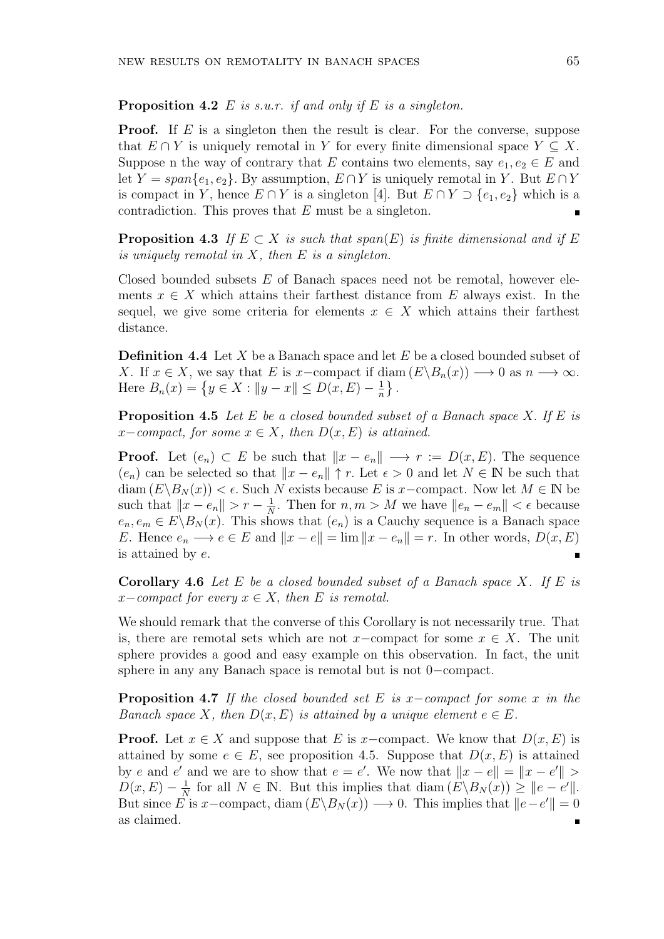## **Proposition 4.2** *E is s.u.r. if and only if E is a singleton.*

**Proof.** If *E* is a singleton then the result is clear. For the converse, suppose that  $E \cap Y$  is uniquely remotal in *Y* for every finite dimensional space  $Y \subseteq X$ . Suppose n the way of contrary that *E* contains two elements, say  $e_1, e_2 \in E$  and let *Y* = *span* $\{e_1, e_2\}$ . By assumption,  $E \cap Y$  is uniquely remotal in *Y*. But  $E \cap Y$ is compact in *Y*, hence  $E \cap Y$  is a singleton [4]. But  $E \cap Y \supset \{e_1, e_2\}$  which is a contradiction. This proves that *E* must be a singleton.

**Proposition 4.3** If  $E \subset X$  is such that  $span(E)$  is finite dimensional and if E *is uniquely remotal in X, then E is a singleton.*

Closed bounded subsets *E* of Banach spaces need not be remotal, however elements  $x \in X$  which attains their farthest distance from  $E$  always exist. In the sequel, we give some criteria for elements  $x \in X$  which attains their farthest distance.

**Definition 4.4** Let *X* be a Banach space and let *E* be a closed bounded subset of *X*. If  $x \in X$ , we say that *E* is *x−*compact if diam  $(E\setminus B_n(x)) \longrightarrow 0$  as  $n \longrightarrow \infty$ . Here  $B_n(x) = \{ y \in X : ||y - x|| \le D(x, E) - \frac{1}{n} \}$  $\frac{1}{n}$ .

**Proposition 4.5** *Let E be a closed bounded subset of a Banach space X. If E is*  $x$ *−compact, for some*  $x \in X$ *, then*  $D(x, E)$  *is attained.* 

**Proof.** Let  $(e_n) \subset E$  be such that  $||x - e_n|| \longrightarrow r := D(x, E)$ . The sequence  $(e_n)$  can be selected so that  $||x - e_n||$  ↑ *r*. Let  $\epsilon > 0$  and let  $N \in \mathbb{N}$  be such that diam  $(E\setminus B_N(x)) < \epsilon$ . Such *N* exists because *E* is *x*−compact. Now let  $M \in \mathbb{N}$  be such that  $||x - e_n|| > r - \frac{1}{N}$  $\frac{1}{N}$ . Then for  $n, m > M$  we have  $||e_n - e_m|| < \epsilon$  because  $e_n, e_m \in E \backslash B_N(x)$ . This shows that  $(e_n)$  is a Cauchy sequence is a Banach space *E*. Hence  $e_n \longrightarrow e \in E$  and  $||x - e|| = \lim ||x - e_n|| = r$ . In other words,  $D(x, E)$ is attained by *e*.

**Corollary 4.6** *Let E be a closed bounded subset of a Banach space X. If E is*  $x$ *−compact for every*  $x \in X$ *, then E is remotal.* 

We should remark that the converse of this Corollary is not necessarily true. That is, there are remotal sets which are not *x−*compact for some *x ∈ X*. The unit sphere provides a good and easy example on this observation. In fact, the unit sphere in any any Banach space is remotal but is not 0*−*compact.

**Proposition 4.7** *If the closed bounded set E is x−compact for some x in the Banach space*  $X$ *, then*  $D(x, E)$  *is attained by a unique element*  $e \in E$ *.* 

**Proof.** Let  $x \in X$  and suppose that *E* is *x−*compact. We know that  $D(x, E)$  is attained by some  $e \in E$ , see proposition 4.5. Suppose that  $D(x, E)$  is attained by *e* and *e'* and we are to show that  $e = e'$ . We now that  $||x - e|| = ||x - e'||$  $D(x, E) - \frac{1}{N}$  $\frac{1}{N}$  for all  $N \in \mathbb{N}$ . But this implies that diam  $(E \setminus B_N(x)) \geq ||e - e'||$ . But since *E* is *x*−compact, diam  $(E\backslash B_N(x)) \longrightarrow 0$ . This implies that  $||e-e'|| = 0$ as claimed. $\blacksquare$